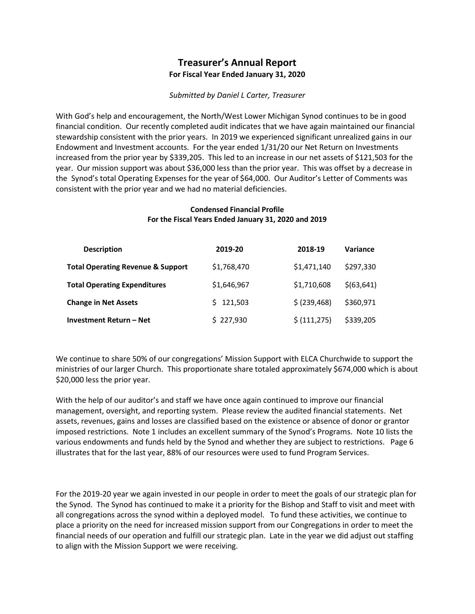## Treasurer's Annual Report For Fiscal Year Ended January 31, 2020

## Submitted by Daniel L Carter, Treasurer

With God's help and encouragement, the North/West Lower Michigan Synod continues to be in good financial condition. Our recently completed audit indicates that we have again maintained our financial stewardship consistent with the prior years. In 2019 we experienced significant unrealized gains in our Endowment and Investment accounts. For the year ended 1/31/20 our Net Return on Investments increased from the prior year by \$339,205. This led to an increase in our net assets of \$121,503 for the year. Our mission support was about \$36,000 less than the prior year. This was offset by a decrease in the Synod's total Operating Expenses for the year of \$64,000. Our Auditor's Letter of Comments was consistent with the prior year and we had no material deficiencies.

## Condensed Financial Profile For the Fiscal Years Ended January 31, 2020 and 2019

| <b>Description</b>                           | 2019-20     | 2018-19       | Variance    |
|----------------------------------------------|-------------|---------------|-------------|
| <b>Total Operating Revenue &amp; Support</b> | \$1,768,470 | \$1,471,140   | \$297,330   |
| <b>Total Operating Expenditures</b>          | \$1,646,967 | \$1,710,608   | \$(63, 641) |
| <b>Change in Net Assets</b>                  | \$121,503   | \$ (239, 468) | \$360,971   |
| Investment Return – Net                      | \$227,930   | \$ (111, 275) | \$339,205   |

We continue to share 50% of our congregations' Mission Support with ELCA Churchwide to support the ministries of our larger Church. This proportionate share totaled approximately \$674,000 which is about \$20,000 less the prior year.

With the help of our auditor's and staff we have once again continued to improve our financial management, oversight, and reporting system. Please review the audited financial statements. Net assets, revenues, gains and losses are classified based on the existence or absence of donor or grantor imposed restrictions. Note 1 includes an excellent summary of the Synod's Programs. Note 10 lists the various endowments and funds held by the Synod and whether they are subject to restrictions. Page 6 illustrates that for the last year, 88% of our resources were used to fund Program Services.

For the 2019-20 year we again invested in our people in order to meet the goals of our strategic plan for the Synod. The Synod has continued to make it a priority for the Bishop and Staff to visit and meet with all congregations across the synod within a deployed model. To fund these activities, we continue to place a priority on the need for increased mission support from our Congregations in order to meet the financial needs of our operation and fulfill our strategic plan. Late in the year we did adjust out staffing to align with the Mission Support we were receiving.